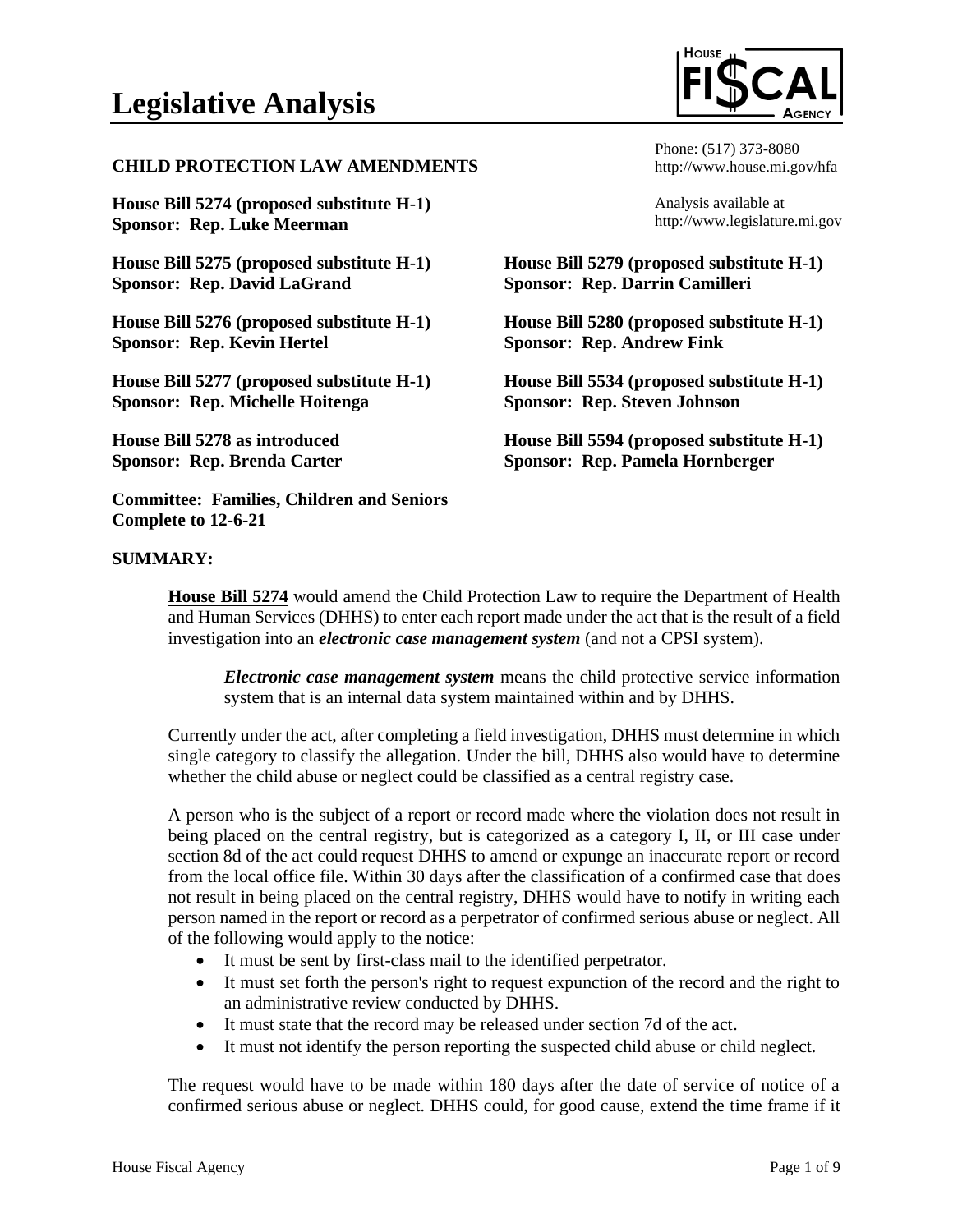## **CHILD PROTECTION LAW AMENDMENTS**

**House Bill 5274 (proposed substitute H-1) Sponsor: Rep. Luke Meerman**

**House Bill 5275 (proposed substitute H-1) Sponsor: Rep. David LaGrand**

**House Bill 5276 (proposed substitute H-1) Sponsor: Rep. Kevin Hertel**

**House Bill 5277 (proposed substitute H-1) Sponsor: Rep. Michelle Hoitenga**

**House Bill 5278 as introduced Sponsor: Rep. Brenda Carter**

**Committee: Families, Children and Seniors Complete to 12-6-21**



Phone: (517) 373-8080 http://www.house.mi.gov/hfa

Analysis available at http://www.legislature.mi.gov

**House Bill 5279 (proposed substitute H-1) Sponsor: Rep. Darrin Camilleri**

**House Bill 5280 (proposed substitute H-1) Sponsor: Rep. Andrew Fink**

**House Bill 5534 (proposed substitute H-1) Sponsor: Rep. Steven Johnson**

**House Bill 5594 (proposed substitute H-1) Sponsor: Rep. Pamela Hornberger**

#### **SUMMARY:**

**House Bill 5274** would amend the Child Protection Law to require the Department of Health and Human Services (DHHS) to enter each report made under the act that is the result of a field investigation into an *electronic case management system* (and not a CPSI system).

*Electronic case management system* means the child protective service information system that is an internal data system maintained within and by DHHS.

Currently under the act, after completing a field investigation, DHHS must determine in which single category to classify the allegation. Under the bill, DHHS also would have to determine whether the child abuse or neglect could be classified as a central registry case.

A person who is the subject of a report or record made where the violation does not result in being placed on the central registry, but is categorized as a category I, II, or III case under section 8d of the act could request DHHS to amend or expunge an inaccurate report or record from the local office file. Within 30 days after the classification of a confirmed case that does not result in being placed on the central registry, DHHS would have to notify in writing each person named in the report or record as a perpetrator of confirmed serious abuse or neglect. All of the following would apply to the notice:

- It must be sent by first-class mail to the identified perpetrator.
- It must set forth the person's right to request expunction of the record and the right to an administrative review conducted by DHHS.
- It must state that the record may be released under section 7d of the act.
- It must not identify the person reporting the suspected child abuse or child neglect.

The request would have to be made within 180 days after the date of service of notice of a confirmed serious abuse or neglect. DHHS could, for good cause, extend the time frame if it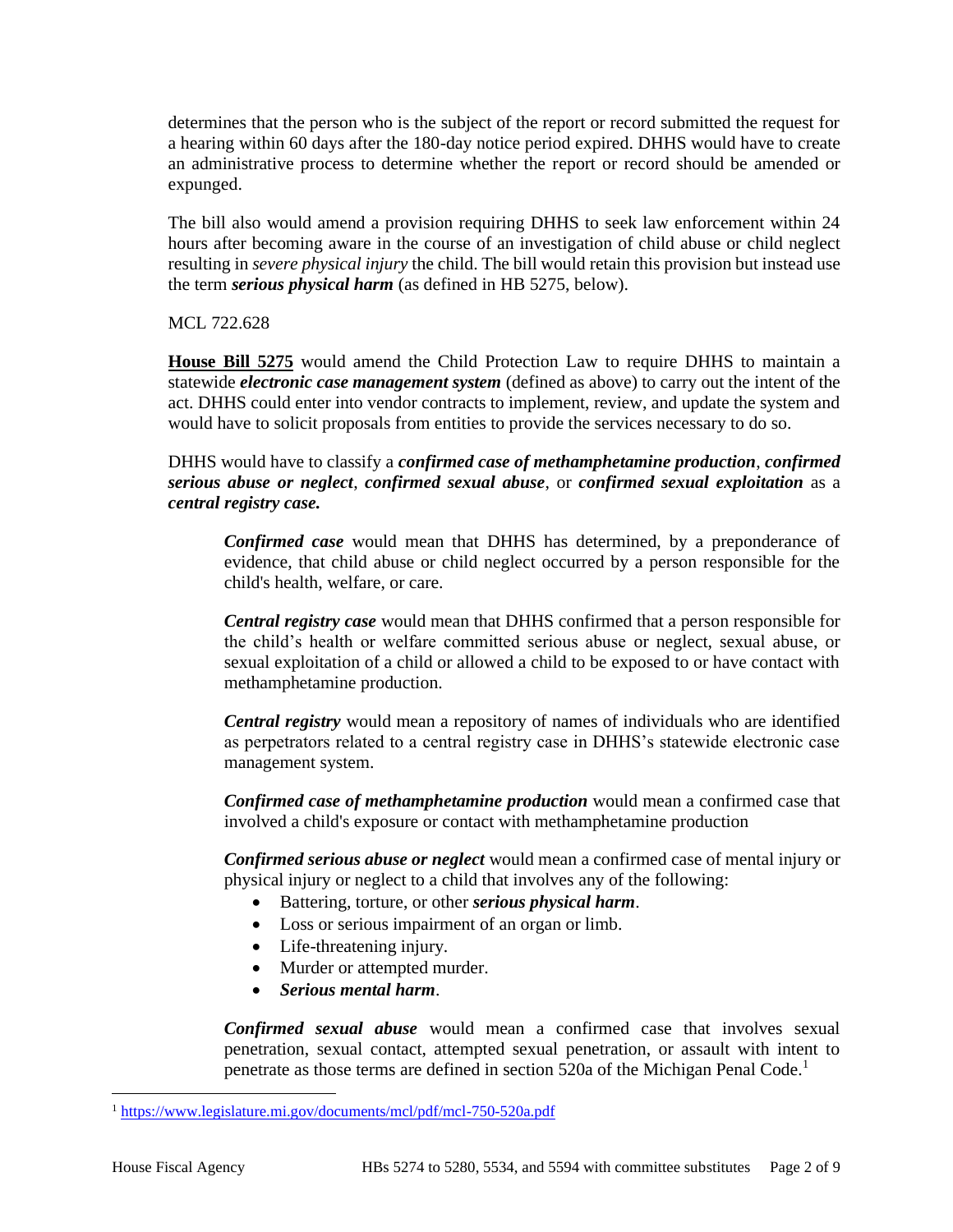determines that the person who is the subject of the report or record submitted the request for a hearing within 60 days after the 180-day notice period expired. DHHS would have to create an administrative process to determine whether the report or record should be amended or expunged.

The bill also would amend a provision requiring DHHS to seek law enforcement within 24 hours after becoming aware in the course of an investigation of child abuse or child neglect resulting in *severe physical injury* the child. The bill would retain this provision but instead use the term *serious physical harm* (as defined in HB 5275, below).

MCL 722.628

**House Bill 5275** would amend the Child Protection Law to require DHHS to maintain a statewide *electronic case management system* (defined as above) to carry out the intent of the act. DHHS could enter into vendor contracts to implement, review, and update the system and would have to solicit proposals from entities to provide the services necessary to do so.

DHHS would have to classify a *confirmed case of methamphetamine production*, *confirmed serious abuse or neglect*, *confirmed sexual abuse*, or *confirmed sexual exploitation* as a *central registry case.*

*Confirmed case* would mean that DHHS has determined, by a preponderance of evidence, that child abuse or child neglect occurred by a person responsible for the child's health, welfare, or care.

*Central registry case* would mean that DHHS confirmed that a person responsible for the child's health or welfare committed serious abuse or neglect, sexual abuse, or sexual exploitation of a child or allowed a child to be exposed to or have contact with methamphetamine production.

*Central registry* would mean a repository of names of individuals who are identified as perpetrators related to a central registry case in DHHS's statewide electronic case management system.

*Confirmed case of methamphetamine production* would mean a confirmed case that involved a child's exposure or contact with methamphetamine production

*Confirmed serious abuse or neglect* would mean a confirmed case of mental injury or physical injury or neglect to a child that involves any of the following:

- Battering, torture, or other *serious physical harm*.
- Loss or serious impairment of an organ or limb.
- Life-threatening injury.
- Murder or attempted murder.
- *Serious mental harm*.

*Confirmed sexual abuse* would mean a confirmed case that involves sexual penetration, sexual contact, attempted sexual penetration, or assault with intent to penetrate as those terms are defined in section 520a of the Michigan Penal Code.<sup>1</sup>

<sup>1</sup> <https://www.legislature.mi.gov/documents/mcl/pdf/mcl-750-520a.pdf>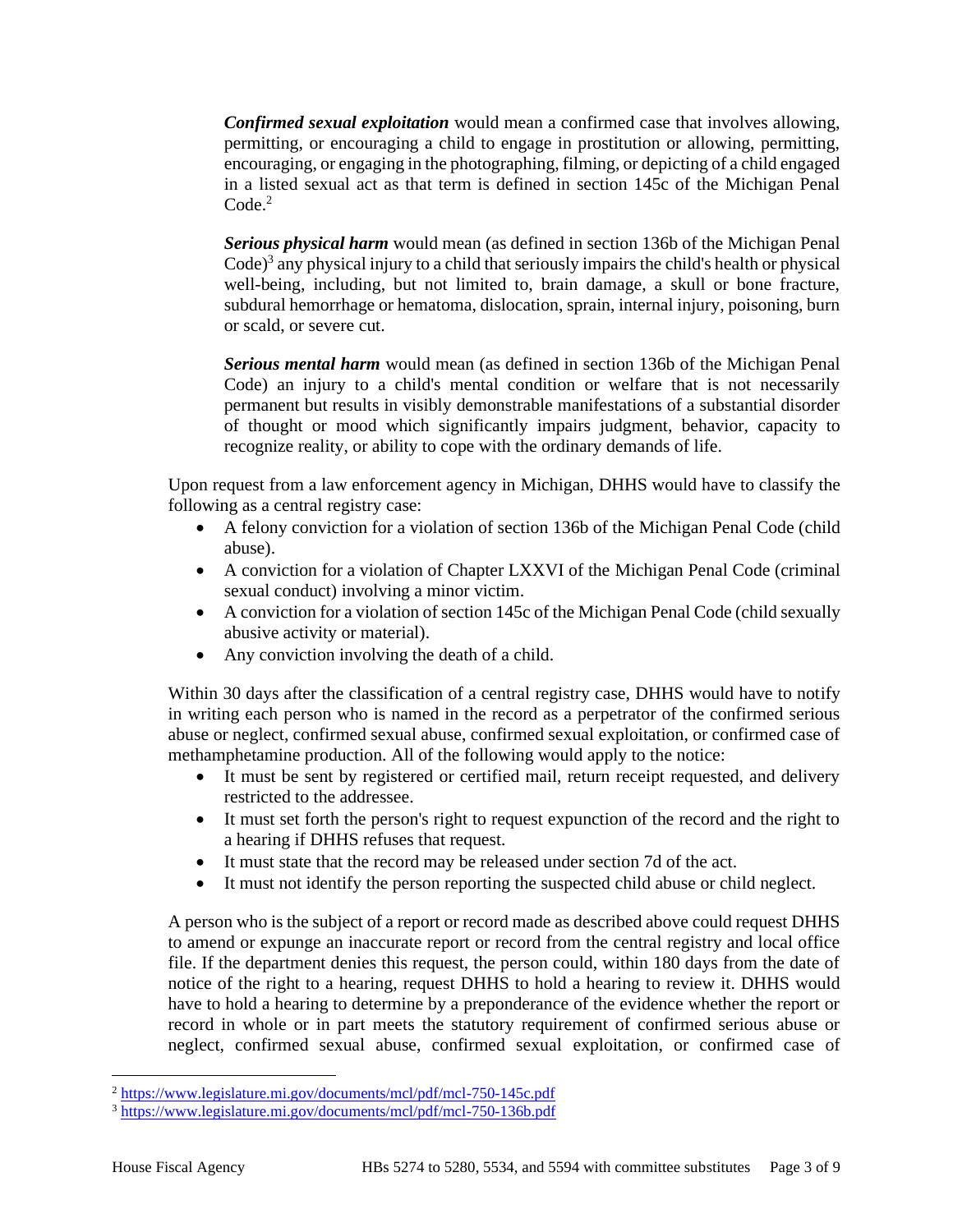*Confirmed sexual exploitation* would mean a confirmed case that involves allowing, permitting, or encouraging a child to engage in prostitution or allowing, permitting, encouraging, or engaging in the photographing, filming, or depicting of a child engaged in a listed sexual act as that term is defined in section 145c of the Michigan Penal  $Code<sup>2</sup>$ 

*Serious physical harm* would mean (as defined in section 136b of the Michigan Penal Code)<sup>3</sup> any physical injury to a child that seriously impairs the child's health or physical well-being, including, but not limited to, brain damage, a skull or bone fracture, subdural hemorrhage or hematoma, dislocation, sprain, internal injury, poisoning, burn or scald, or severe cut.

*Serious mental harm* would mean (as defined in section 136b of the Michigan Penal Code) an injury to a child's mental condition or welfare that is not necessarily permanent but results in visibly demonstrable manifestations of a substantial disorder of thought or mood which significantly impairs judgment, behavior, capacity to recognize reality, or ability to cope with the ordinary demands of life.

Upon request from a law enforcement agency in Michigan, DHHS would have to classify the following as a central registry case:

- A felony conviction for a violation of section 136b of the Michigan Penal Code (child abuse).
- A conviction for a violation of Chapter LXXVI of the Michigan Penal Code (criminal sexual conduct) involving a minor victim.
- A conviction for a violation of section 145c of the Michigan Penal Code (child sexually abusive activity or material).
- Any conviction involving the death of a child.

Within 30 days after the classification of a central registry case, DHHS would have to notify in writing each person who is named in the record as a perpetrator of the confirmed serious abuse or neglect, confirmed sexual abuse, confirmed sexual exploitation, or confirmed case of methamphetamine production. All of the following would apply to the notice:

- It must be sent by registered or certified mail, return receipt requested, and delivery restricted to the addressee.
- It must set forth the person's right to request expunction of the record and the right to a hearing if DHHS refuses that request.
- It must state that the record may be released under section 7d of the act.
- It must not identify the person reporting the suspected child abuse or child neglect.

A person who is the subject of a report or record made as described above could request DHHS to amend or expunge an inaccurate report or record from the central registry and local office file. If the department denies this request, the person could, within 180 days from the date of notice of the right to a hearing, request DHHS to hold a hearing to review it. DHHS would have to hold a hearing to determine by a preponderance of the evidence whether the report or record in whole or in part meets the statutory requirement of confirmed serious abuse or neglect, confirmed sexual abuse, confirmed sexual exploitation, or confirmed case of

<sup>2</sup> <https://www.legislature.mi.gov/documents/mcl/pdf/mcl-750-145c.pdf>

<sup>3</sup> <https://www.legislature.mi.gov/documents/mcl/pdf/mcl-750-136b.pdf>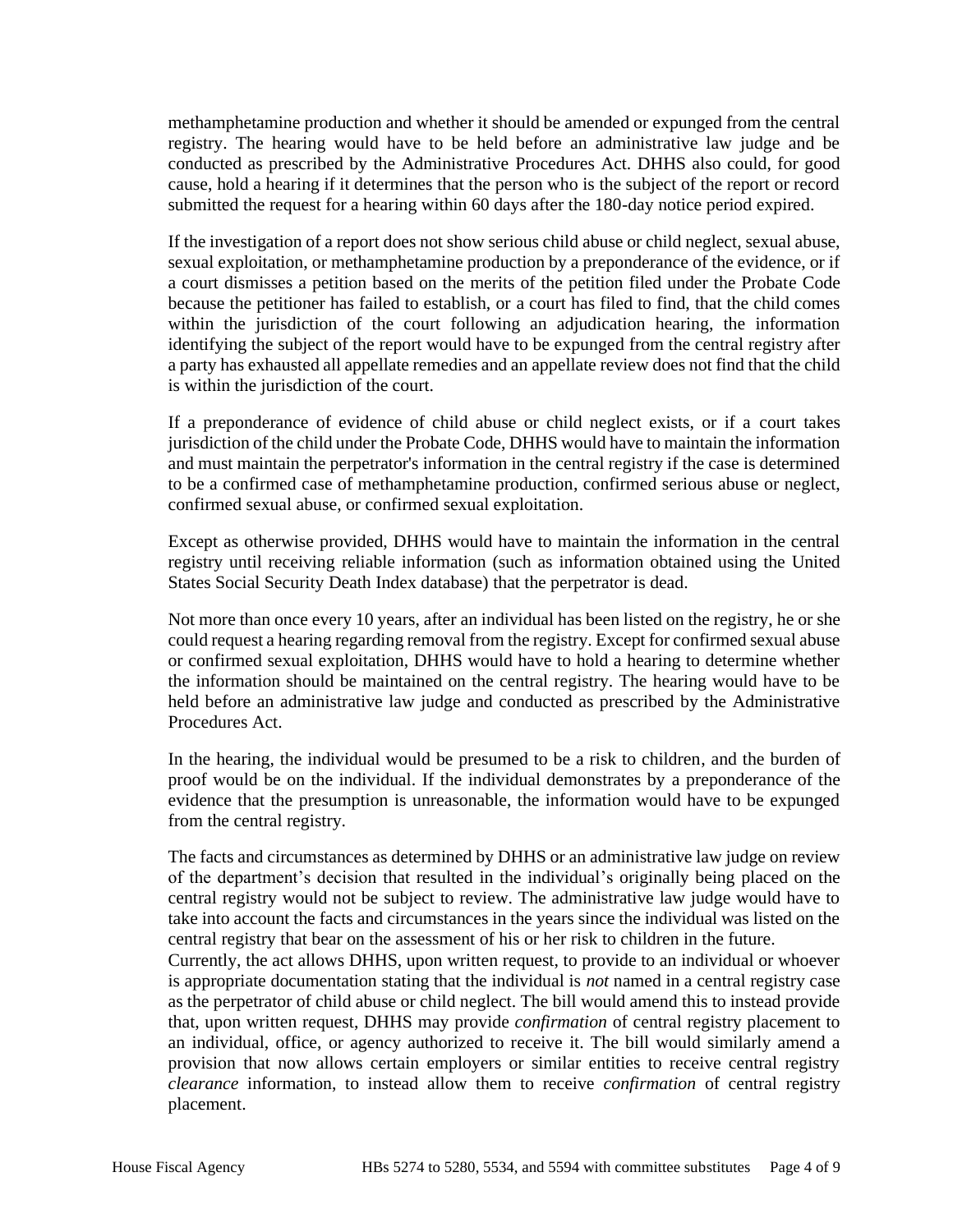methamphetamine production and whether it should be amended or expunged from the central registry. The hearing would have to be held before an administrative law judge and be conducted as prescribed by the Administrative Procedures Act. DHHS also could, for good cause, hold a hearing if it determines that the person who is the subject of the report or record submitted the request for a hearing within 60 days after the 180-day notice period expired.

If the investigation of a report does not show serious child abuse or child neglect, sexual abuse, sexual exploitation, or methamphetamine production by a preponderance of the evidence, or if a court dismisses a petition based on the merits of the petition filed under the Probate Code because the petitioner has failed to establish, or a court has filed to find, that the child comes within the jurisdiction of the court following an adjudication hearing, the information identifying the subject of the report would have to be expunged from the central registry after a party has exhausted all appellate remedies and an appellate review does not find that the child is within the jurisdiction of the court.

If a preponderance of evidence of child abuse or child neglect exists, or if a court takes jurisdiction of the child under the Probate Code, DHHS would have to maintain the information and must maintain the perpetrator's information in the central registry if the case is determined to be a confirmed case of methamphetamine production, confirmed serious abuse or neglect, confirmed sexual abuse, or confirmed sexual exploitation.

Except as otherwise provided, DHHS would have to maintain the information in the central registry until receiving reliable information (such as information obtained using the United States Social Security Death Index database) that the perpetrator is dead.

Not more than once every 10 years, after an individual has been listed on the registry, he or she could request a hearing regarding removal from the registry. Except for confirmed sexual abuse or confirmed sexual exploitation, DHHS would have to hold a hearing to determine whether the information should be maintained on the central registry. The hearing would have to be held before an administrative law judge and conducted as prescribed by the Administrative Procedures Act.

In the hearing, the individual would be presumed to be a risk to children, and the burden of proof would be on the individual. If the individual demonstrates by a preponderance of the evidence that the presumption is unreasonable, the information would have to be expunged from the central registry.

The facts and circumstances as determined by DHHS or an administrative law judge on review of the department's decision that resulted in the individual's originally being placed on the central registry would not be subject to review. The administrative law judge would have to take into account the facts and circumstances in the years since the individual was listed on the central registry that bear on the assessment of his or her risk to children in the future.

Currently, the act allows DHHS, upon written request, to provide to an individual or whoever is appropriate documentation stating that the individual is *not* named in a central registry case as the perpetrator of child abuse or child neglect. The bill would amend this to instead provide that, upon written request, DHHS may provide *confirmation* of central registry placement to an individual, office, or agency authorized to receive it. The bill would similarly amend a provision that now allows certain employers or similar entities to receive central registry *clearance* information, to instead allow them to receive *confirmation* of central registry placement.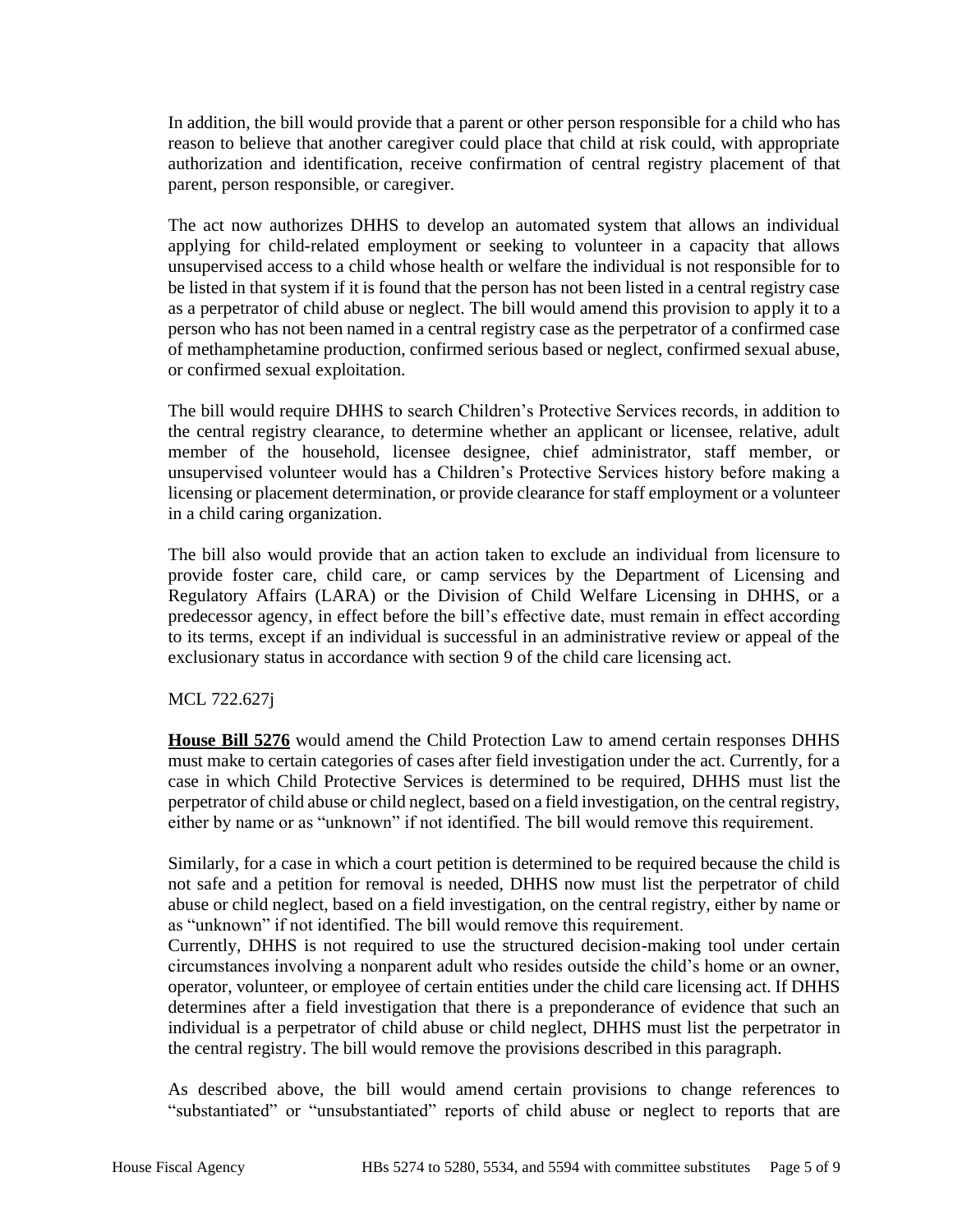In addition, the bill would provide that a parent or other person responsible for a child who has reason to believe that another caregiver could place that child at risk could, with appropriate authorization and identification, receive confirmation of central registry placement of that parent, person responsible, or caregiver.

The act now authorizes DHHS to develop an automated system that allows an individual applying for child-related employment or seeking to volunteer in a capacity that allows unsupervised access to a child whose health or welfare the individual is not responsible for to be listed in that system if it is found that the person has not been listed in a central registry case as a perpetrator of child abuse or neglect. The bill would amend this provision to apply it to a person who has not been named in a central registry case as the perpetrator of a confirmed case of methamphetamine production, confirmed serious based or neglect, confirmed sexual abuse, or confirmed sexual exploitation.

The bill would require DHHS to search Children's Protective Services records, in addition to the central registry clearance, to determine whether an applicant or licensee, relative, adult member of the household, licensee designee, chief administrator, staff member, or unsupervised volunteer would has a Children's Protective Services history before making a licensing or placement determination, or provide clearance for staff employment or a volunteer in a child caring organization.

The bill also would provide that an action taken to exclude an individual from licensure to provide foster care, child care, or camp services by the Department of Licensing and Regulatory Affairs (LARA) or the Division of Child Welfare Licensing in DHHS, or a predecessor agency, in effect before the bill's effective date, must remain in effect according to its terms, except if an individual is successful in an administrative review or appeal of the exclusionary status in accordance with section 9 of the child care licensing act.

MCL 722.627j

**House Bill 5276** would amend the Child Protection Law to amend certain responses DHHS must make to certain categories of cases after field investigation under the act. Currently, for a case in which Child Protective Services is determined to be required, DHHS must list the perpetrator of child abuse or child neglect, based on a field investigation, on the central registry, either by name or as "unknown" if not identified. The bill would remove this requirement.

Similarly, for a case in which a court petition is determined to be required because the child is not safe and a petition for removal is needed, DHHS now must list the perpetrator of child abuse or child neglect, based on a field investigation, on the central registry, either by name or as "unknown" if not identified. The bill would remove this requirement.

Currently, DHHS is not required to use the structured decision-making tool under certain circumstances involving a nonparent adult who resides outside the child's home or an owner, operator, volunteer, or employee of certain entities under the child care licensing act. If DHHS determines after a field investigation that there is a preponderance of evidence that such an individual is a perpetrator of child abuse or child neglect, DHHS must list the perpetrator in the central registry. The bill would remove the provisions described in this paragraph.

As described above, the bill would amend certain provisions to change references to "substantiated" or "unsubstantiated" reports of child abuse or neglect to reports that are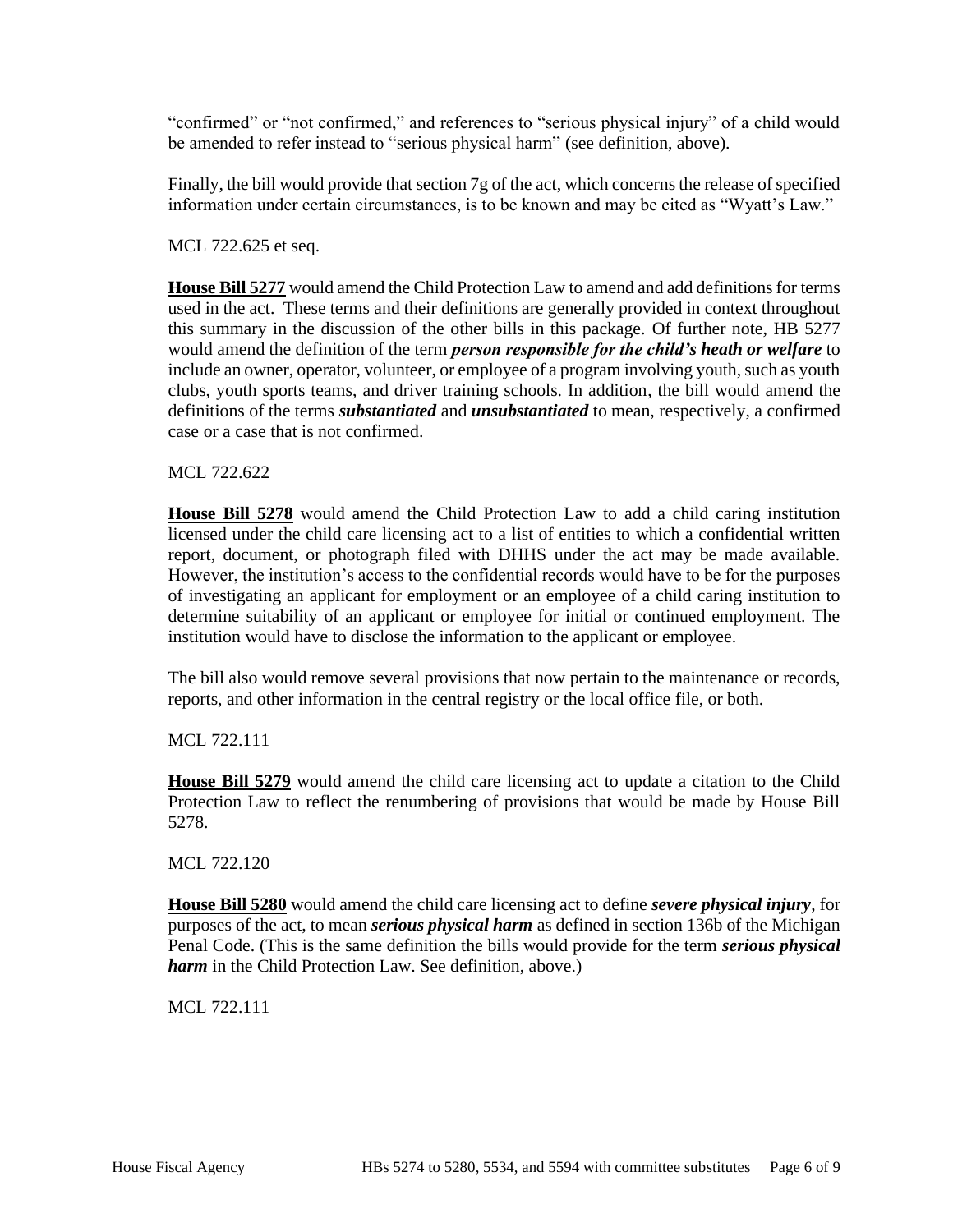"confirmed" or "not confirmed," and references to "serious physical injury" of a child would be amended to refer instead to "serious physical harm" (see definition, above).

Finally, the bill would provide that section 7g of the act, which concerns the release of specified information under certain circumstances, is to be known and may be cited as "Wyatt's Law."

MCL 722.625 et seq.

**House Bill 5277** would amend the Child Protection Law to amend and add definitions for terms used in the act. These terms and their definitions are generally provided in context throughout this summary in the discussion of the other bills in this package. Of further note, HB 5277 would amend the definition of the term *person responsible for the child's heath or welfare* to include an owner, operator, volunteer, or employee of a program involving youth, such as youth clubs, youth sports teams, and driver training schools. In addition, the bill would amend the definitions of the terms *substantiated* and *unsubstantiated* to mean, respectively, a confirmed case or a case that is not confirmed.

MCL 722.622

**House Bill 5278** would amend the Child Protection Law to add a child caring institution licensed under the child care licensing act to a list of entities to which a confidential written report, document, or photograph filed with DHHS under the act may be made available. However, the institution's access to the confidential records would have to be for the purposes of investigating an applicant for employment or an employee of a child caring institution to determine suitability of an applicant or employee for initial or continued employment. The institution would have to disclose the information to the applicant or employee.

The bill also would remove several provisions that now pertain to the maintenance or records, reports, and other information in the central registry or the local office file, or both.

MCL 722.111

**House Bill 5279** would amend the child care licensing act to update a citation to the Child Protection Law to reflect the renumbering of provisions that would be made by House Bill 5278.

MCL 722.120

**House Bill 5280** would amend the child care licensing act to define *severe physical injury*, for purposes of the act, to mean *serious physical harm* as defined in section 136b of the Michigan Penal Code. (This is the same definition the bills would provide for the term *serious physical harm* in the Child Protection Law. See definition, above.)

MCL 722.111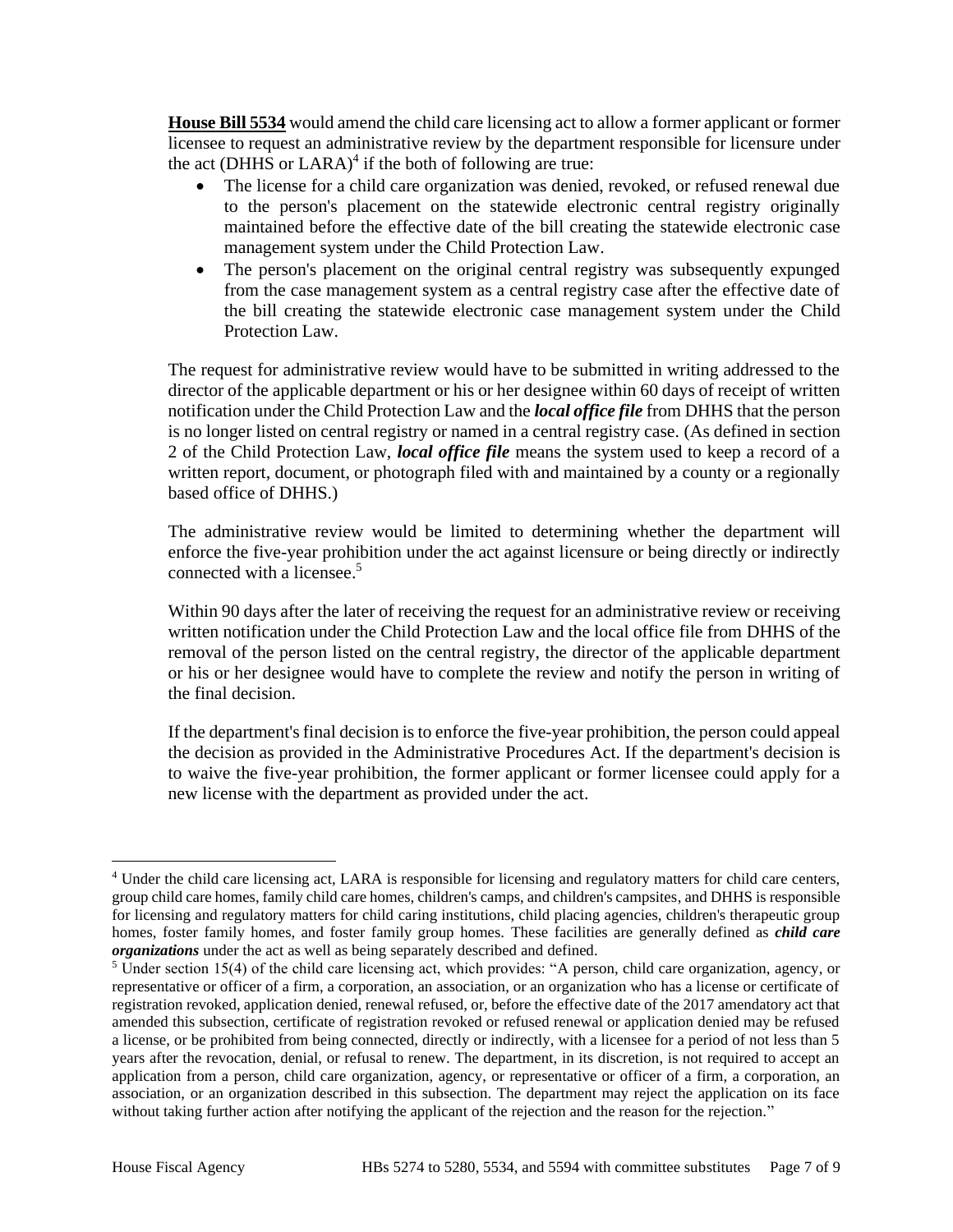**House Bill 5534** would amend the child care licensing act to allow a former applicant or former licensee to request an administrative review by the department responsible for licensure under the act (DHHS or LARA)<sup>4</sup> if the both of following are true:

- The license for a child care organization was denied, revoked, or refused renewal due to the person's placement on the statewide electronic central registry originally maintained before the effective date of the bill creating the statewide electronic case management system under the Child Protection Law.
- The person's placement on the original central registry was subsequently expunged from the case management system as a central registry case after the effective date of the bill creating the statewide electronic case management system under the Child Protection Law.

The request for administrative review would have to be submitted in writing addressed to the director of the applicable department or his or her designee within 60 days of receipt of written notification under the Child Protection Law and the *local office file* from DHHS that the person is no longer listed on central registry or named in a central registry case. (As defined in section 2 of the Child Protection Law, *local office file* means the system used to keep a record of a written report, document, or photograph filed with and maintained by a county or a regionally based office of DHHS.)

The administrative review would be limited to determining whether the department will enforce the five-year prohibition under the act against licensure or being directly or indirectly connected with a licensee. 5

Within 90 days after the later of receiving the request for an administrative review or receiving written notification under the Child Protection Law and the local office file from DHHS of the removal of the person listed on the central registry, the director of the applicable department or his or her designee would have to complete the review and notify the person in writing of the final decision.

If the department's final decision is to enforce the five-year prohibition, the person could appeal the decision as provided in the Administrative Procedures Act. If the department's decision is to waive the five-year prohibition, the former applicant or former licensee could apply for a new license with the department as provided under the act.

<sup>4</sup> Under the child care licensing act, LARA is responsible for licensing and regulatory matters for child care centers, group child care homes, family child care homes, children's camps, and children's campsites, and DHHS is responsible for licensing and regulatory matters for child caring institutions, child placing agencies, children's therapeutic group homes, foster family homes, and foster family group homes. These facilities are generally defined as *child care organizations* under the act as well as being separately described and defined.

<sup>&</sup>lt;sup>5</sup> Under section 15(4) of the child care licensing act, which provides: "A person, child care organization, agency, or representative or officer of a firm, a corporation, an association, or an organization who has a license or certificate of registration revoked, application denied, renewal refused, or, before the effective date of the 2017 amendatory act that amended this subsection, certificate of registration revoked or refused renewal or application denied may be refused a license, or be prohibited from being connected, directly or indirectly, with a licensee for a period of not less than 5 years after the revocation, denial, or refusal to renew. The department, in its discretion, is not required to accept an application from a person, child care organization, agency, or representative or officer of a firm, a corporation, an association, or an organization described in this subsection. The department may reject the application on its face without taking further action after notifying the applicant of the rejection and the reason for the rejection."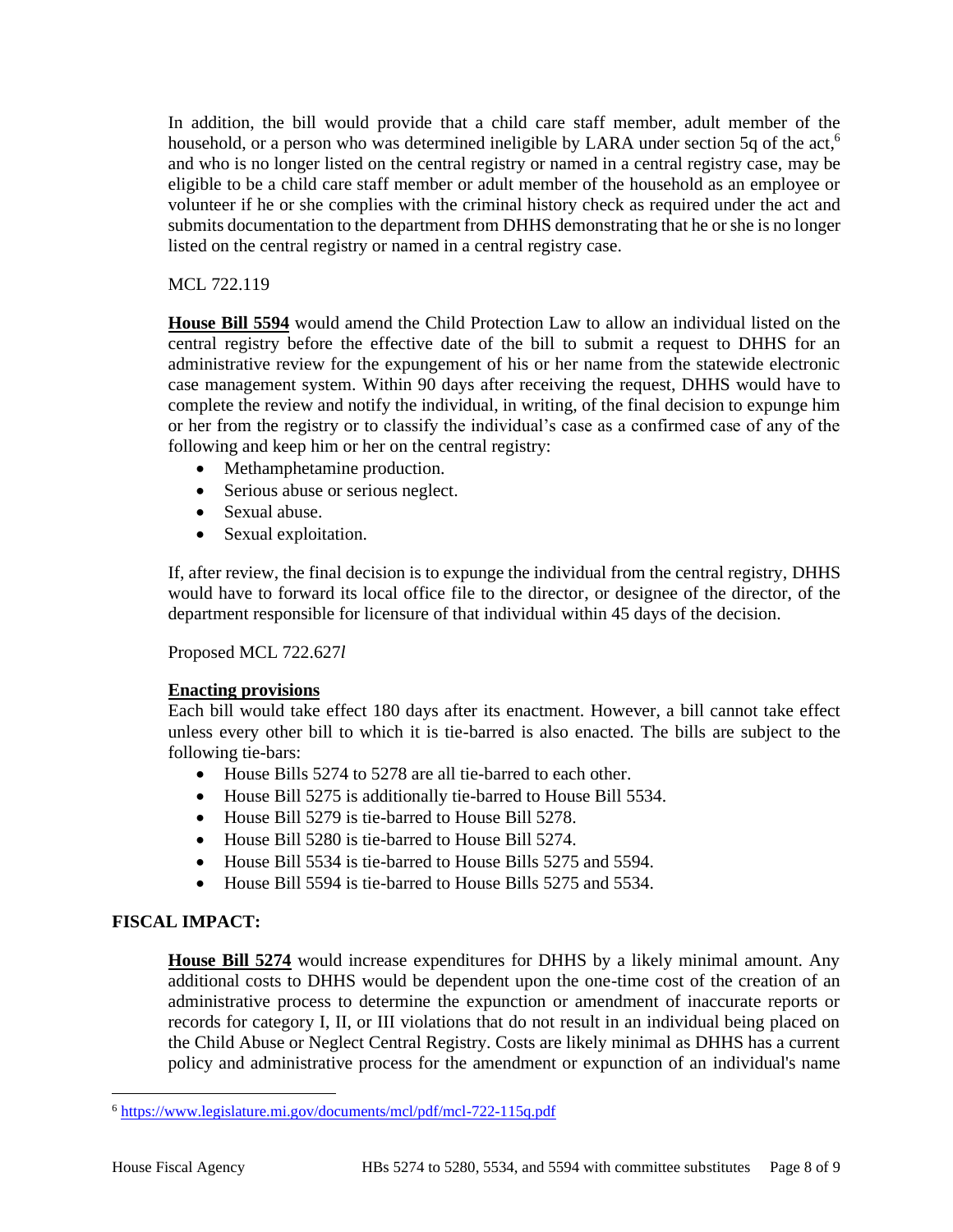In addition, the bill would provide that a child care staff member, adult member of the household, or a person who was determined ineligible by LARA under section 5q of the act,<sup>6</sup> and who is no longer listed on the central registry or named in a central registry case, may be eligible to be a child care staff member or adult member of the household as an employee or volunteer if he or she complies with the criminal history check as required under the act and submits documentation to the department from DHHS demonstrating that he or she is no longer listed on the central registry or named in a central registry case.

## MCL 722.119

**House Bill 5594** would amend the Child Protection Law to allow an individual listed on the central registry before the effective date of the bill to submit a request to DHHS for an administrative review for the expungement of his or her name from the statewide electronic case management system. Within 90 days after receiving the request, DHHS would have to complete the review and notify the individual, in writing, of the final decision to expunge him or her from the registry or to classify the individual's case as a confirmed case of any of the following and keep him or her on the central registry:

- Methamphetamine production.
- Serious abuse or serious neglect.
- Sexual abuse.
- Sexual exploitation.

If, after review, the final decision is to expunge the individual from the central registry, DHHS would have to forward its local office file to the director, or designee of the director, of the department responsible for licensure of that individual within 45 days of the decision.

Proposed MCL 722.627*l*

## **Enacting provisions**

Each bill would take effect 180 days after its enactment. However, a bill cannot take effect unless every other bill to which it is tie-barred is also enacted. The bills are subject to the following tie-bars:

- House Bills 5274 to 5278 are all tie-barred to each other.
- House Bill 5275 is additionally tie-barred to House Bill 5534.
- House Bill 5279 is tie-barred to House Bill 5278.
- House Bill 5280 is tie-barred to House Bill 5274.
- House Bill 5534 is tie-barred to House Bills 5275 and 5594.
- House Bill 5594 is tie-barred to House Bills 5275 and 5534.

# **FISCAL IMPACT:**

**House Bill 5274** would increase expenditures for DHHS by a likely minimal amount. Any additional costs to DHHS would be dependent upon the one-time cost of the creation of an administrative process to determine the expunction or amendment of inaccurate reports or records for category I, II, or III violations that do not result in an individual being placed on the Child Abuse or Neglect Central Registry. Costs are likely minimal as DHHS has a current policy and administrative process for the amendment or expunction of an individual's name

<sup>6</sup> <https://www.legislature.mi.gov/documents/mcl/pdf/mcl-722-115q.pdf>